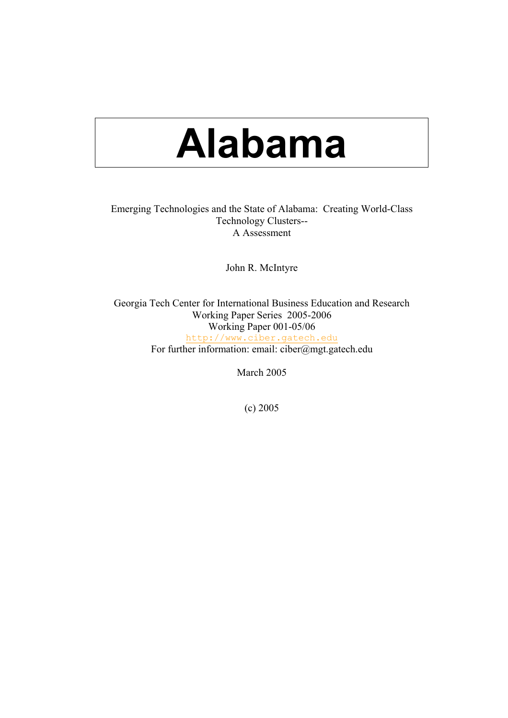# **Alabama**

## Emerging Technologies and the State of Alabama: Creating World-Class Technology Clusters-- A Assessment

John R. McIntyre

Georgia Tech Center for International Business Education and Research Working Paper Series 2005-2006 Working Paper 001-05/06 [http://www.ciber.gatech.edu](https://webmail.mail.gatech.edu/horde/util/go.php?url=http%3A%2F%2Fwww.ciber.gatech.edu&Horde=c4913d46dc420fb455b23c43e1bfd812) For further information: email: ciber@mgt.gatech.edu

March 2005

(c) 2005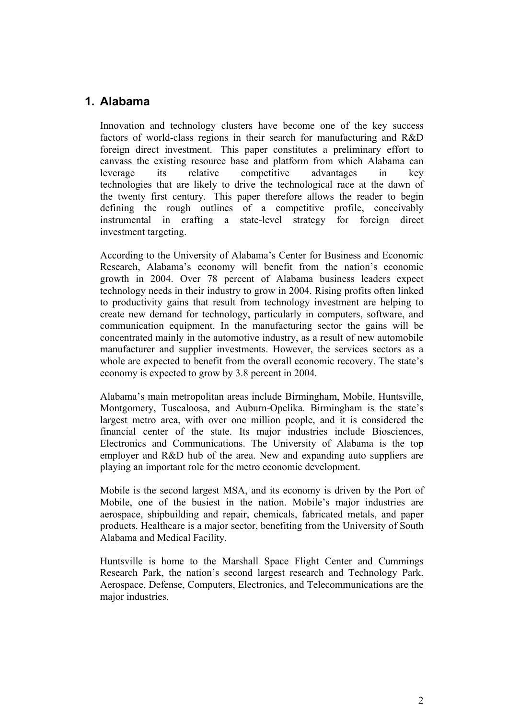# **1. Alabama**

Innovation and technology clusters have become one of the key success factors of world-class regions in their search for manufacturing and R&D foreign direct investment. This paper constitutes a preliminary effort to canvass the existing resource base and platform from which Alabama can leverage its relative competitive advantages in key technologies that are likely to drive the technological race at the dawn of the twenty first century. This paper therefore allows the reader to begin defining the rough outlines of a competitive profile, conceivably instrumental in crafting a state-level strategy for foreign direct investment targeting.

According to the University of Alabama's Center for Business and Economic Research, Alabama's economy will benefit from the nation's economic growth in 2004. Over 78 percent of Alabama business leaders expect technology needs in their industry to grow in 2004. Rising profits often linked to productivity gains that result from technology investment are helping to create new demand for technology, particularly in computers, software, and communication equipment. In the manufacturing sector the gains will be concentrated mainly in the automotive industry, as a result of new automobile manufacturer and supplier investments. However, the services sectors as a whole are expected to benefit from the overall economic recovery. The state's economy is expected to grow by 3.8 percent in 2004.

Alabama's main metropolitan areas include Birmingham, Mobile, Huntsville, Montgomery, Tuscaloosa, and Auburn-Opelika. Birmingham is the state's largest metro area, with over one million people, and it is considered the financial center of the state. Its major industries include Biosciences, Electronics and Communications. The University of Alabama is the top employer and R&D hub of the area. New and expanding auto suppliers are playing an important role for the metro economic development.

Mobile is the second largest MSA, and its economy is driven by the Port of Mobile, one of the busiest in the nation. Mobile's major industries are aerospace, shipbuilding and repair, chemicals, fabricated metals, and paper products. Healthcare is a major sector, benefiting from the University of South Alabama and Medical Facility.

Huntsville is home to the Marshall Space Flight Center and Cummings Research Park, the nation's second largest research and Technology Park. Aerospace, Defense, Computers, Electronics, and Telecommunications are the major industries.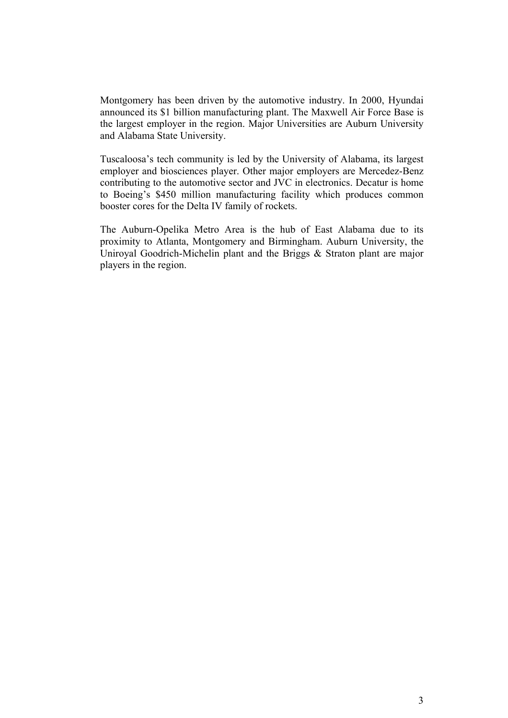Montgomery has been driven by the automotive industry. In 2000, Hyundai announced its \$1 billion manufacturing plant. The Maxwell Air Force Base is the largest employer in the region. Major Universities are Auburn University and Alabama State University.

Tuscaloosa's tech community is led by the University of Alabama, its largest employer and biosciences player. Other major employers are Mercedez-Benz contributing to the automotive sector and JVC in electronics. Decatur is home to Boeing's \$450 million manufacturing facility which produces common booster cores for the Delta IV family of rockets.

The Auburn-Opelika Metro Area is the hub of East Alabama due to its proximity to Atlanta, Montgomery and Birmingham. Auburn University, the Uniroyal Goodrich-Michelin plant and the Briggs & Straton plant are major players in the region.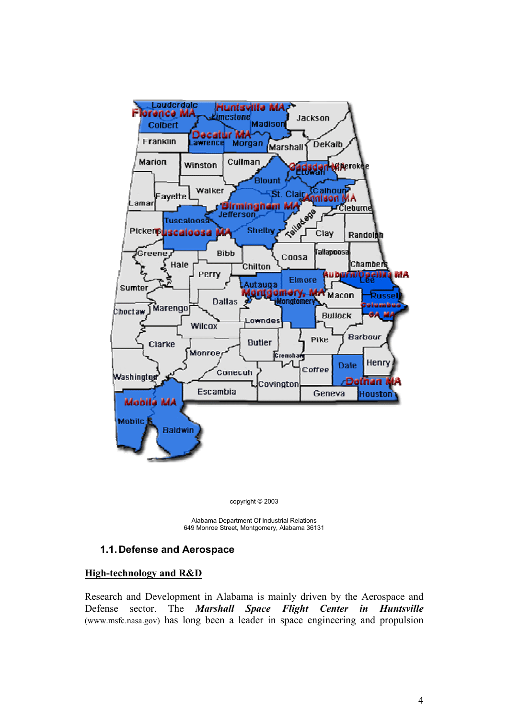

copyright © 2003

Alabama Department Of Industrial Relations 649 Monroe Street, Montgomery, Alabama 36131

## **1.1. Defense and Aerospace**

## **High-technology and R&D**

Research and Development in Alabama is mainly driven by the Aerospace and Defense sector. The *Marshall Space Flight Center in Huntsville* (www.msfc.nasa.gov) has long been a leader in space engineering and propulsion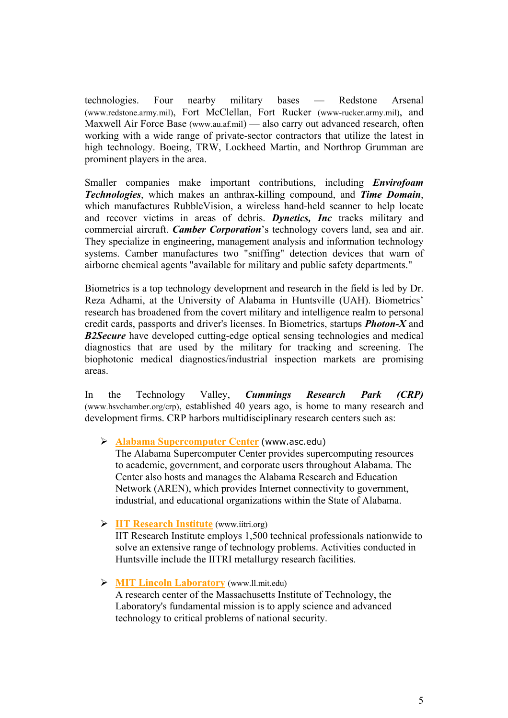technologies. Four nearby military bases — Redstone Arsenal (www.redstone.army.mil), Fort McClellan, Fort Rucker (www-rucker.army.mil), and Maxwell Air Force Base (www.au.af.mil) — also carry out advanced research, often working with a wide range of private-sector contractors that utilize the latest in high technology. Boeing, TRW, Lockheed Martin, and Northrop Grumman are prominent players in the area.

Smaller companies make important contributions, including *Envirofoam Technologies*, which makes an anthrax-killing compound, and *Time Domain*, which manufactures RubbleVision, a wireless hand-held scanner to help locate and recover victims in areas of debris. *Dynetics, Inc* tracks military and commercial aircraft. *Camber Corporation*'s technology covers land, sea and air. They specialize in engineering, management analysis and information technology systems. Camber manufactures two "sniffing" detection devices that warn of airborne chemical agents "available for military and public safety departments."

Biometrics is a top technology development and research in the field is led by Dr. Reza Adhami, at the University of Alabama in Huntsville (UAH). Biometrics' research has broadened from the covert military and intelligence realm to personal credit cards, passports and driver's licenses. In Biometrics, startups *Photon-X* and *B2Secure* have developed cutting-edge optical sensing technologies and medical diagnostics that are used by the military for tracking and screening. The biophotonic medical diagnostics/industrial inspection markets are promising areas.

In the Technology Valley, *Cummings Research Park (CRP)* (www.hsvchamber.org/crp), established 40 years ago, is home to many research and development firms. CRP harbors multidisciplinary research centers such as:

¾ **[Alabama Supercomputer Center](http://www.asc.edu/)** (www.asc.edu)

The Alabama Supercomputer Center provides supercomputing resources to academic, government, and corporate users throughout Alabama. The Center also hosts and manages the Alabama Research and Education Network (AREN), which provides Internet connectivity to government, industrial, and educational organizations within the State of Alabama.

¾ **[IIT Research Institute](http://www.iitri.org/)** (www.iitri.org)

IIT Research Institute employs 1,500 technical professionals nationwide to solve an extensive range of technology problems. Activities conducted in Huntsville include the IITRI metallurgy research facilities.

¾ **[MIT Lincoln Laboratory](http://www.ll.mit.edu/)** (www.ll.mit.edu)

A research center of the Massachusetts Institute of Technology, the Laboratory's fundamental mission is to apply science and advanced technology to critical problems of national security.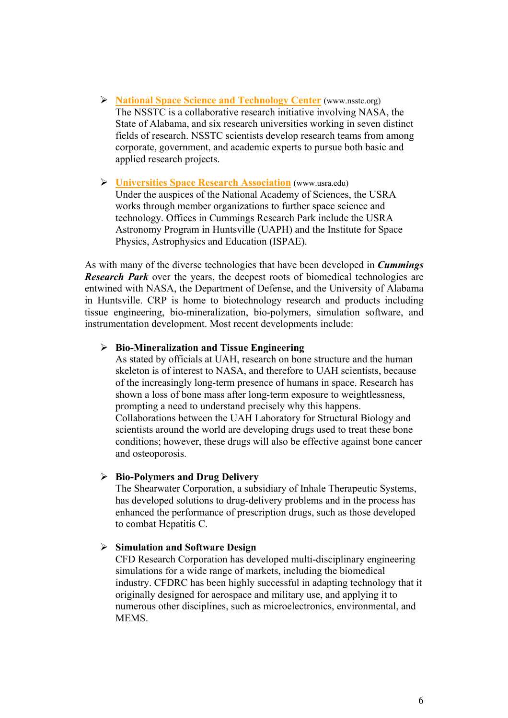- ¾ **[National Space Science and Technology Center](http://www.nsstc.org/)** (www.nsstc.org) The NSSTC is a collaborative research initiative involving NASA, the State of Alabama, and six research universities working in seven distinct fields of research. NSSTC scientists develop research teams from among corporate, government, and academic experts to pursue both basic and applied research projects.
- ¾ **[Universities Space Research Association](http://www.usra.edu/)** (www.usra.edu) Under the auspices of the National Academy of Sciences, the USRA works through member organizations to further space science and technology. Offices in Cummings Research Park include the USRA Astronomy Program in Huntsville (UAPH) and the Institute for Space Physics, Astrophysics and Education (ISPAE).

As with many of the diverse technologies that have been developed in *Cummings Research Park* over the years, the deepest roots of biomedical technologies are entwined with NASA, the Department of Defense, and the University of Alabama in Huntsville. CRP is home to biotechnology research and products including tissue engineering, bio-mineralization, bio-polymers, simulation software, and instrumentation development. Most recent developments include:

## ¾ **Bio-Mineralization and Tissue Engineering**

As stated by officials at UAH, research on bone structure and the human skeleton is of interest to NASA, and therefore to UAH scientists, because of the increasingly long-term presence of humans in space. Research has shown a loss of bone mass after long-term exposure to weightlessness, prompting a need to understand precisely why this happens. Collaborations between the UAH Laboratory for Structural Biology and scientists around the world are developing drugs used to treat these bone conditions; however, these drugs will also be effective against bone cancer and osteoporosis.

#### ¾ **Bio-Polymers and Drug Delivery**

The Shearwater Corporation, a subsidiary of Inhale Therapeutic Systems, has developed solutions to drug-delivery problems and in the process has enhanced the performance of prescription drugs, such as those developed to combat Hepatitis C.

## ¾ **Simulation and Software Design**

CFD Research Corporation has developed multi-disciplinary engineering simulations for a wide range of markets, including the biomedical industry. CFDRC has been highly successful in adapting technology that it originally designed for aerospace and military use, and applying it to numerous other disciplines, such as microelectronics, environmental, and **MEMS**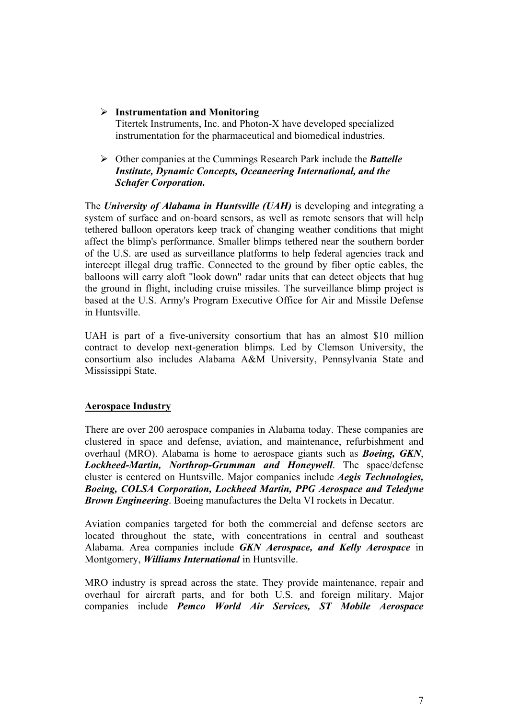# ¾ **Instrumentation and Monitoring**

Titertek Instruments, Inc. and Photon-X have developed specialized instrumentation for the pharmaceutical and biomedical industries.

## ¾ Other companies at the Cummings Research Park include the *Battelle Institute, Dynamic Concepts, Oceaneering International, and the Schafer Corporation.*

The *University of Alabama in Huntsville (UAH)* is developing and integrating a system of surface and on-board sensors, as well as remote sensors that will help tethered balloon operators keep track of changing weather conditions that might affect the blimp's performance. Smaller blimps tethered near the southern border of the U.S. are used as surveillance platforms to help federal agencies track and intercept illegal drug traffic. Connected to the ground by fiber optic cables, the balloons will carry aloft "look down" radar units that can detect objects that hug the ground in flight, including cruise missiles. The surveillance blimp project is based at the U.S. Army's Program Executive Office for Air and Missile Defense in Huntsville.

UAH is part of a five-university consortium that has an almost \$10 million contract to develop next-generation blimps. Led by Clemson University, the consortium also includes Alabama A&M University, Pennsylvania State and Mississippi State.

# **Aerospace Industry**

There are over 200 aerospace companies in Alabama today. These companies are clustered in space and defense, aviation, and maintenance, refurbishment and overhaul (MRO). Alabama is home to aerospace giants such as *Boeing, GKN*, *Lockheed-Martin, Northrop-Grumman and Honeywell*. The space/defense cluster is centered on Huntsville. Major companies include *Aegis Technologies, Boeing, COLSA Corporation, Lockheed Martin, PPG Aerospace and Teledyne Brown Engineering*. Boeing manufactures the Delta VI rockets in Decatur.

Aviation companies targeted for both the commercial and defense sectors are located throughout the state, with concentrations in central and southeast Alabama. Area companies include *GKN Aerospace, and Kelly Aerospace* in Montgomery, *Williams International* in Huntsville.

MRO industry is spread across the state. They provide maintenance, repair and overhaul for aircraft parts, and for both U.S. and foreign military. Major companies include *Pemco World Air Services, ST Mobile Aerospace*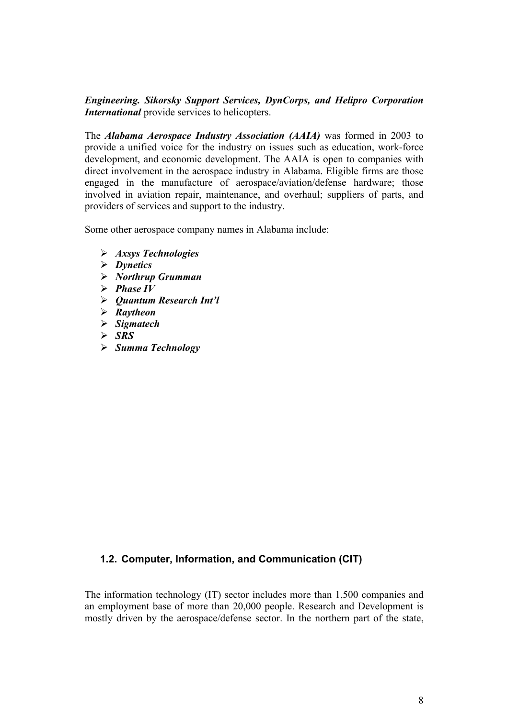*Engineering. Sikorsky Support Services, DynCorps, and Helipro Corporation International* provide services to helicopters.

The *Alabama Aerospace Industry Association (AAIA)* was formed in 2003 to provide a unified voice for the industry on issues such as education, work-force development, and economic development. The AAIA is open to companies with direct involvement in the aerospace industry in Alabama. Eligible firms are those engaged in the manufacture of aerospace/aviation/defense hardware; those involved in aviation repair, maintenance, and overhaul; suppliers of parts, and providers of services and support to the industry.

Some other aerospace company names in Alabama include:

- ¾ *Axsys Technologies*
- ¾ *Dynetics*
- ¾ *Northrup Grumman*
- $\triangleright$  **Phase IV**
- ¾ *Quantum Research Int'l*
- ¾ *Raytheon*
- ¾ *Sigmatech*
- $>$  *SRS*
- ¾ *Summa Technology*

## **1.2. Computer, Information, and Communication (CIT)**

The information technology (IT) sector includes more than 1,500 companies and an employment base of more than 20,000 people. Research and Development is mostly driven by the aerospace/defense sector. In the northern part of the state,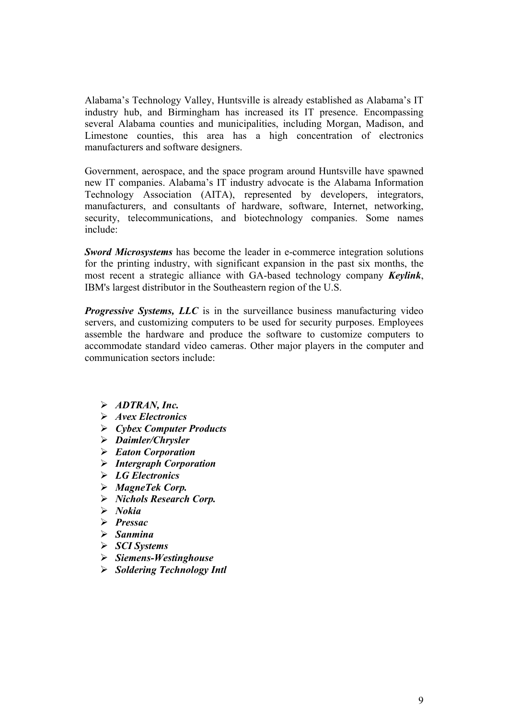Alabama's Technology Valley, Huntsville is already established as Alabama's IT industry hub, and Birmingham has increased its IT presence. Encompassing several Alabama counties and municipalities, including Morgan, Madison, and Limestone counties, this area has a high concentration of electronics manufacturers and software designers.

Government, aerospace, and the space program around Huntsville have spawned new IT companies. Alabama's IT industry advocate is the Alabama Information Technology Association (AITA), represented by developers, integrators, manufacturers, and consultants of hardware, software, Internet, networking, security, telecommunications, and biotechnology companies. Some names include:

*Sword Microsystems* has become the leader in e-commerce integration solutions for the printing industry, with significant expansion in the past six months, the most recent a strategic alliance with GA-based technology company *Keylink*, IBM's largest distributor in the Southeastern region of the U.S.

*Progressive Systems, LLC* is in the surveillance business manufacturing video servers, and customizing computers to be used for security purposes. Employees assemble the hardware and produce the software to customize computers to accommodate standard video cameras. Other major players in the computer and communication sectors include:

- ¾ *ADTRAN, Inc.*
- ¾ *Avex Electronics*
- ¾ *Cybex Computer Products*
- ¾ *Daimler/Chrysler*
- ¾ *Eaton Corporation*
- ¾ *Intergraph Corporation*
- ¾ *LG Electronics*
- ¾ *MagneTek Corp.*
- ¾ *Nichols Research Corp.*
- ¾ *Nokia*
- ¾ *Pressac*
- ¾ *Sanmina*
- ¾ *SCI Systems*
- ¾ *Siemens-Westinghouse*
- ¾ *Soldering Technology Intl*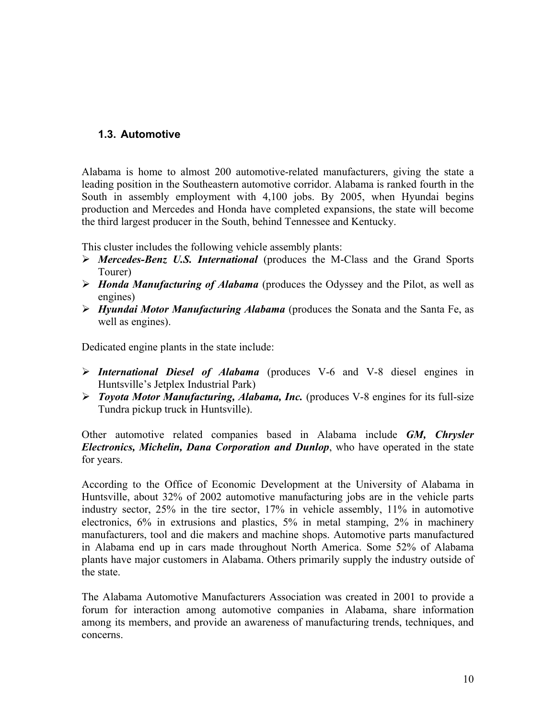## **1.3. Automotive**

Alabama is home to almost 200 automotive-related manufacturers, giving the state a leading position in the Southeastern automotive corridor. Alabama is ranked fourth in the South in assembly employment with 4,100 jobs. By 2005, when Hyundai begins production and Mercedes and Honda have completed expansions, the state will become the third largest producer in the South, behind Tennessee and Kentucky.

This cluster includes the following vehicle assembly plants:

- ¾ *Mercedes-Benz U.S. International* (produces the M-Class and the Grand Sports Tourer)
- ¾ *Honda Manufacturing of Alabama* (produces the Odyssey and the Pilot, as well as engines)
- ¾ *Hyundai Motor Manufacturing Alabama* (produces the Sonata and the Santa Fe, as well as engines).

Dedicated engine plants in the state include:

- ¾ *International Diesel of Alabama* (produces V-6 and V-8 diesel engines in Huntsville's Jetplex Industrial Park)
- ¾ *Toyota Motor Manufacturing, Alabama, Inc.* (produces V-8 engines for its full-size Tundra pickup truck in Huntsville).

Other automotive related companies based in Alabama include *GM, Chrysler Electronics, Michelin, Dana Corporation and Dunlop*, who have operated in the state for years.

According to the Office of Economic Development at the University of Alabama in Huntsville, about 32% of 2002 automotive manufacturing jobs are in the vehicle parts industry sector, 25% in the tire sector, 17% in vehicle assembly, 11% in automotive electronics, 6% in extrusions and plastics, 5% in metal stamping, 2% in machinery manufacturers, tool and die makers and machine shops. Automotive parts manufactured in Alabama end up in cars made throughout North America. Some 52% of Alabama plants have major customers in Alabama. Others primarily supply the industry outside of the state.

The Alabama Automotive Manufacturers Association was created in 2001 to provide a forum for interaction among automotive companies in Alabama, share information among its members, and provide an awareness of manufacturing trends, techniques, and concerns.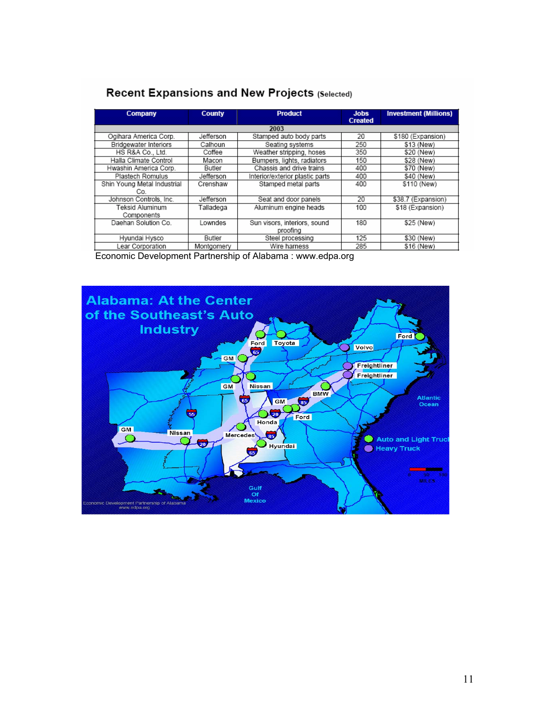| Company                      | <b>County</b> | <b>Product</b>                  | <b>Jobs</b><br><b>Created</b> | <b>Investment (Millions)</b> |
|------------------------------|---------------|---------------------------------|-------------------------------|------------------------------|
| 2003                         |               |                                 |                               |                              |
| Ogihara America Corp.        | Jefferson     | Stamped auto body parts         | 20                            | \$180 (Expansion)            |
| <b>Bridgewater Interiors</b> | Calhoun       | Seating systems                 | 250                           | \$13 (New)                   |
| HS R&A Co., Ltd.             | Coffee        | Weather stripping, hoses        | 350                           | \$20 (New)                   |
| Halla Climate Control        | Macon         | Bumpers, lights, radiators      | 150                           | \$28 (New)                   |
| Hwashin America Corp.        | Butler        | Chassis and drive trains        | 400                           | \$70 (New)                   |
| Plastech Romulus             | Jefferson     | Interior/exterior plastic parts | 400                           | \$40 (New)                   |
| Shin Young Metal Industrial  | Crenshaw      | Stamped metal parts             | 400                           | \$110 (New)                  |
| Co.                          |               |                                 |                               |                              |
| Johnson Controls, Inc.       | Jefferson     | Seat and door panels            | 20                            | \$38.7 (Expansion)           |
| Teksid Aluminum              | Talladega     | Aluminum engine heads           | 100                           | \$18 (Expansion)             |
| Components                   |               |                                 |                               |                              |
| Daehan Solution Co.          | Lowndes       | Sun visors, interiors, sound    | 180                           | \$25 (New)                   |
|                              |               | proofing                        |                               |                              |
| Hyundai Hysco                | Butler        | Steel processing                | 125                           | \$30 (New)                   |
| ear Corporation              | Montgomery    | Wire harness                    | 285                           | \$16 (New)                   |

# Recent Expansions and New Projects (Selected)

Economic Development Partnership of Alabama : www.edpa.org

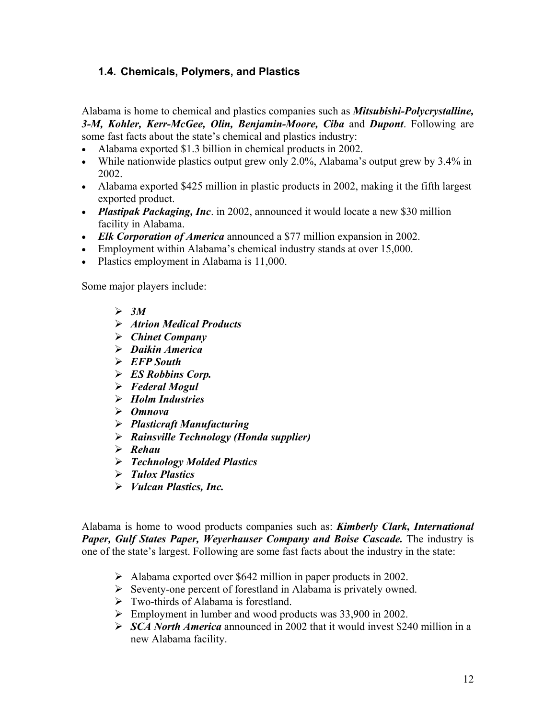# **1.4. Chemicals, Polymers, and Plastics**

Alabama is home to chemical and plastics companies such as *Mitsubishi-Polycrystalline, 3-M, Kohler, Kerr-McGee, Olin, Benjamin-Moore, Ciba* and *Dupont*. Following are some fast facts about the state's chemical and plastics industry:

- Alabama exported \$1.3 billion in chemical products in 2002.
- While nationwide plastics output grew only 2.0%, Alabama's output grew by 3.4% in 2002.
- Alabama exported \$425 million in plastic products in 2002, making it the fifth largest exported product.
- *Plastipak Packaging, Inc*. in 2002, announced it would locate a new \$30 million facility in Alabama.
- *Elk Corporation of America* announced a \$77 million expansion in 2002.
- Employment within Alabama's chemical industry stands at over 15,000.
- Plastics employment in Alabama is 11,000.

Some major players include:

- $\geqslant 3M$
- ¾ *Atrion Medical Products*
- ¾ *Chinet Company*
- ¾ *Daikin America*
- ¾ *EFP South*
- ¾ *ES Robbins Corp.*
- ¾ *Federal Mogul*
- ¾ *Holm Industries*
- ¾ *Omnova*
- ¾ *Plasticraft Manufacturing*
- ¾ *Rainsville Technology (Honda supplier)*
- ¾ *Rehau*
- ¾ *Technology Molded Plastics*
- ¾ *Tulox Plastics*
- ¾ *Vulcan Plastics, Inc.*

Alabama is home to wood products companies such as: *Kimberly Clark, International Paper, Gulf States Paper, Weyerhauser Company and Boise Cascade.* The industry is one of the state's largest. Following are some fast facts about the industry in the state:

- ¾ Alabama exported over \$642 million in paper products in 2002.
- $\triangleright$  Seventy-one percent of forestland in Alabama is privately owned.
- $\triangleright$  Two-thirds of Alabama is forestland.
- $\triangleright$  Employment in lumber and wood products was 33,900 in 2002.
- ¾ *SCA North America* announced in 2002 that it would invest \$240 million in a new Alabama facility.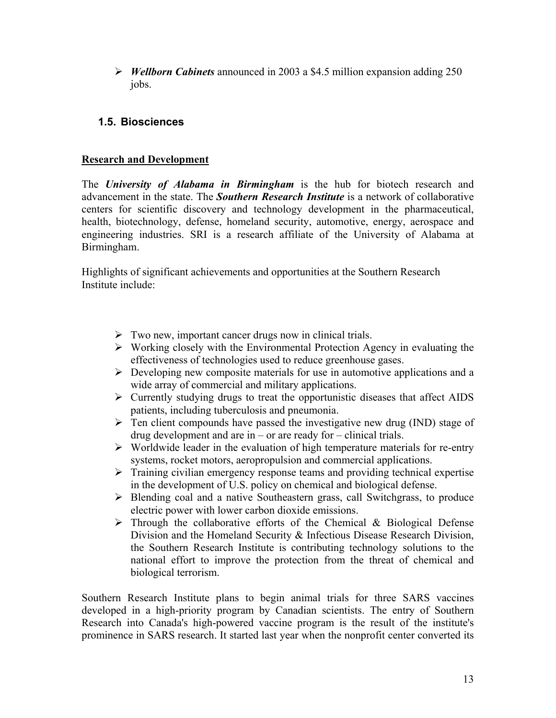¾ *Wellborn Cabinets* announced in 2003 a \$4.5 million expansion adding 250 jobs.

# **1.5. Biosciences**

## **Research and Development**

The *University of Alabama in Birmingham* is the hub for biotech research and advancement in the state. The *Southern Research Institute* is a network of collaborative centers for scientific discovery and technology development in the pharmaceutical, health, biotechnology, defense, homeland security, automotive, energy, aerospace and engineering industries. SRI is a research affiliate of the University of Alabama at Birmingham.

Highlights of significant achievements and opportunities at the Southern Research Institute include:

- $\triangleright$  Two new, important cancer drugs now in clinical trials.
- $\triangleright$  Working closely with the Environmental Protection Agency in evaluating the effectiveness of technologies used to reduce greenhouse gases.
- $\triangleright$  Developing new composite materials for use in automotive applications and a wide array of commercial and military applications.
- $\triangleright$  Currently studying drugs to treat the opportunistic diseases that affect AIDS patients, including tuberculosis and pneumonia.
- $\triangleright$  Ten client compounds have passed the investigative new drug (IND) stage of drug development and are in – or are ready for – clinical trials.
- $\triangleright$  Worldwide leader in the evaluation of high temperature materials for re-entry systems, rocket motors, aeropropulsion and commercial applications.
- $\triangleright$  Training civilian emergency response teams and providing technical expertise in the development of U.S. policy on chemical and biological defense.
- ¾ Blending coal and a native Southeastern grass, call Switchgrass, to produce electric power with lower carbon dioxide emissions.
- $\triangleright$  Through the collaborative efforts of the Chemical & Biological Defense Division and the Homeland Security & Infectious Disease Research Division, the Southern Research Institute is contributing technology solutions to the national effort to improve the protection from the threat of chemical and biological terrorism.

Southern Research Institute plans to begin animal trials for three SARS vaccines developed in a high-priority program by Canadian scientists. The entry of Southern Research into Canada's high-powered vaccine program is the result of the institute's prominence in SARS research. It started last year when the nonprofit center converted its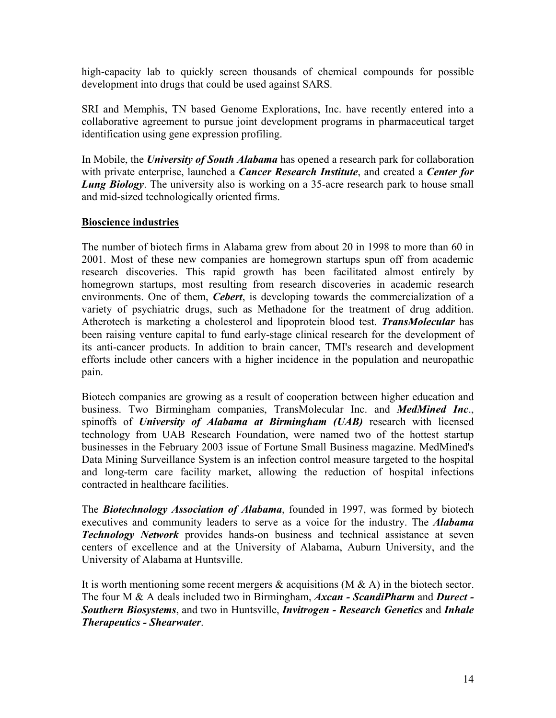high-capacity lab to quickly screen thousands of chemical compounds for possible development into drugs that could be used against SARS.

SRI and Memphis, TN based Genome Explorations, Inc. have recently entered into a collaborative agreement to pursue joint development programs in pharmaceutical target identification using gene expression profiling.

In Mobile, the *University of South Alabama* has opened a research park for collaboration with private enterprise, launched a *Cancer Research Institute*, and created a *Center for Lung Biology*. The university also is working on a 35-acre research park to house small and mid-sized technologically oriented firms.

## **Bioscience industries**

The number of biotech firms in Alabama grew from about 20 in 1998 to more than 60 in 2001. Most of these new companies are homegrown startups spun off from academic research discoveries. This rapid growth has been facilitated almost entirely by homegrown startups, most resulting from research discoveries in academic research environments. One of them, *Cebert*, is developing towards the commercialization of a variety of psychiatric drugs, such as Methadone for the treatment of drug addition. Atherotech is marketing a cholesterol and lipoprotein blood test. *TransMolecular* has been raising venture capital to fund early-stage clinical research for the development of its anti-cancer products. In addition to brain cancer, TMI's research and development efforts include other cancers with a higher incidence in the population and neuropathic pain.

Biotech companies are growing as a result of cooperation between higher education and business. Two Birmingham companies, TransMolecular Inc. and *MedMined Inc*., spinoffs of *University of Alabama at Birmingham (UAB)* research with licensed technology from UAB Research Foundation, were named two of the hottest startup businesses in the February 2003 issue of Fortune Small Business magazine. MedMined's Data Mining Surveillance System is an infection control measure targeted to the hospital and long-term care facility market, allowing the reduction of hospital infections contracted in healthcare facilities.

The *Biotechnology Association of Alabama*, founded in 1997, was formed by biotech executives and community leaders to serve as a voice for the industry. The *Alabama Technology Network* provides hands-on business and technical assistance at seven centers of excellence and at the University of Alabama, Auburn University, and the University of Alabama at Huntsville.

It is worth mentioning some recent mergers  $\&$  acquisitions (M  $\&$  A) in the biotech sector. The four M & A deals included two in Birmingham, *Axcan - ScandiPharm* and *Durect - Southern Biosystems*, and two in Huntsville, *Invitrogen - Research Genetics* and *Inhale Therapeutics - Shearwater*.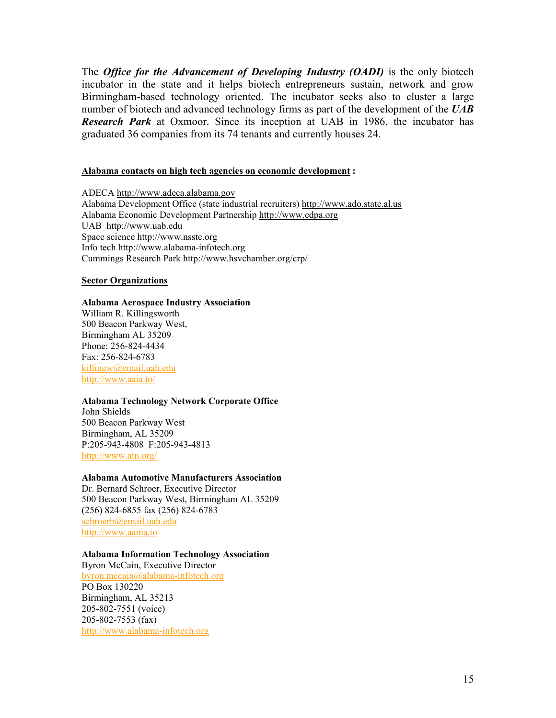The *Office for the Advancement of Developing Industry (OADI)* is the only biotech incubator in the state and it helps biotech entrepreneurs sustain, network and grow Birmingham-based technology oriented. The incubator seeks also to cluster a large number of biotech and advanced technology firms as part of the development of the *UAB Research Park* at Oxmoor. Since its inception at UAB in 1986, the incubator has graduated 36 companies from its 74 tenants and currently houses 24.

#### **Alabama contacts on high tech agencies on economic development :**

ADECA [http://www.adeca.alabama.gov](http://www.adeca.alabama.gov/) Alabama Development Office (state industrial recruiters) [http://www.ado.state.al.us](http://www.ado.state.al.us/) Alabama Economic Development Partnership [http://www.edpa.org](http://www.edpa.org/) UAB [http://www.uab.edu](http://www.uab.edu/) Space science [http://www.nsstc.org](http://www.nsstc.org/) Info tech [http://www.alabama-infotech.org](http://www.alabama-infotech.org/) Cummings Research Park htt[p://www.hsvchamber.org/crp/](http://www.hsvchamber.org/crp/) 

#### **Sector Organizations**

#### **Alabama Aerospace Industry Association**

William R. Killingsworth 500 Beacon Parkway West, Birmingham AL 35209 Phone: 256-824-4434 Fax: 256-824-6783 [killingw@email.uah.edu](mailto:killingw@email.uah.edum)  <http://www.aaia.to/>

#### **Alabama Technology Network Corporate Office**

John Shields 500 Beacon Parkway West Birmingham, AL 35209 P:205-943-4808 F:205-943-4813 <http://www.atn.org/>

#### **Alabama Automotive Manufacturers Association**

Dr. Bernard Schroer, Executive Director 500 Beacon Parkway West, Birmingham AL 35209 (256) 824-6855 fax (256) 824-6783 [schroerb@email.uah.edu](mailto:schroerb@email.uah.edu)  [http://www.aama.to](http://www.aama.to/)

#### **Alabama Information Technology Association**

Byron McCain, Executive Director [byron.mccain@alabama-infotech.org](mailto:byron.mccain@alabama-infotech.org) PO Box 130220 Birmingham, AL 35213 205-802-7551 (voice) 205-802-7553 (fax) [http://www.alabama-infotech.org](http://www.alabama-infotech.org/)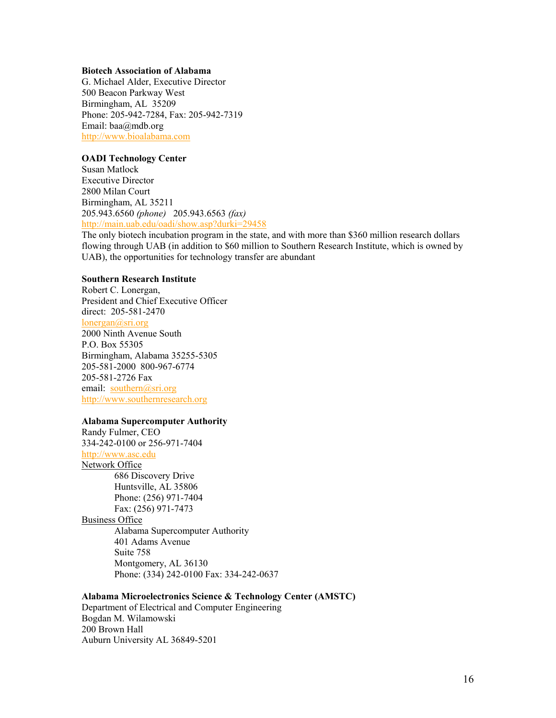#### **Biotech Association of Alabama**

G. Michael Alder, Executive Director 500 Beacon Parkway West Birmingham, AL 35209 Phone: 205-942-7284, Fax: 205-942-7319 Email: baa@mdb.org [http://www.bioalabama.com](http://www.bioalabama.com/)

#### **OADI Technology Center**

Susan Matlock Executive Director 2800 Milan Court Birmingham, AL 35211 205.943.6560 *(phone)* 205.943.6563 *(fax)*  <http://main.uab.edu/oadi/show.asp?durki=29458>

The only biotech incubation program in the state, and with more than \$360 million research dollars flowing through UAB (in addition to \$60 million to Southern Research Institute, which is owned by UAB), the opportunities for technology transfer are abundant

### **Southern Research Institute**

Robert C. Lonergan, President and Chief Executive Officer direct: 205-581-2470 lonergan@sri.org 2000 Ninth Avenue South P.O. Box 55305 Birmingham, Alabama 35255-5305 205-581-2000 800-967-6774 205-581-2726 Fax email: [southern@sri.org](mailto:southern@sri.org) [http://www.southernresearch.org](http://www.southernresearch.org/)

#### **Alabama Supercomputer Authority**

Randy Fulmer, CEO 334-242-0100 or 256-971-7404 [http://www.asc.edu](http://www.asc.edu/)  Network Office 686 Discovery Drive Huntsville, AL 35806 Phone: (256) 971-7404 Fax: (256) 971-7473 Business Office Alabama Supercomputer Authority 401 Adams Avenue Suite 758 Montgomery, AL 36130 Phone: (334) 242-0100 Fax: 334-242-0637

#### **Alabama Microelectronics Science & Technology Center (AMSTC)**

Department of Electrical and Computer Engineering Bogdan M. Wilamowski 200 Brown Hall Auburn University AL 36849-5201